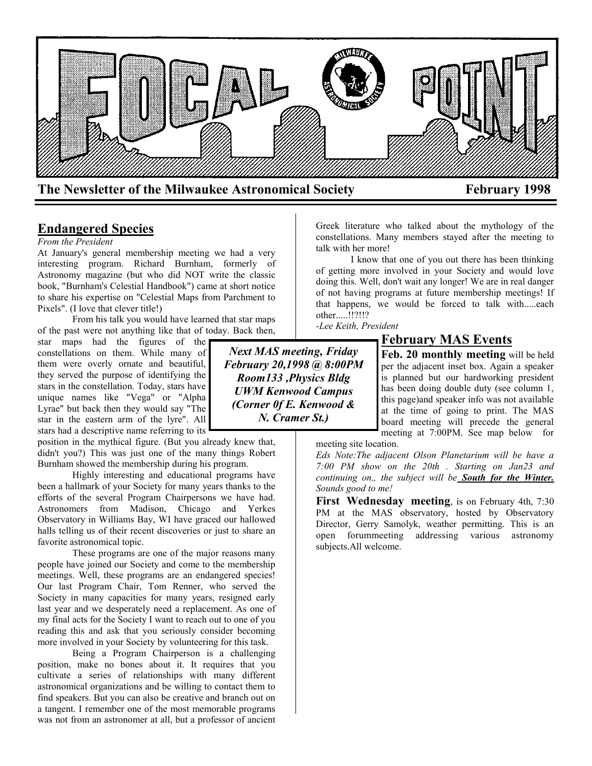

**Endangered Species**

#### *From the President*

At January's general membership meeting we had a very interesting program. Richard Burnham, formerly of Astronomy magazine (but who did NOT write the classic book, "Burnham's Celestial Handbook") came at short notice to share his expertise on "Celestial Maps from Parchment to Pixels". (I love that clever title!)

From his talk you would have learned that star maps of the past were not anything like that of today. Back then,

star maps had the figures of the constellations on them. While many of them were overly ornate and beautiful, they served the purpose of identifying the stars in the constellation. Today, stars have unique names like "Vega" or "Alpha Lyrae" but back then they would say "The star in the eastern arm of the lyre". All stars had a descriptive name referring to its

position in the mythical figure. (But you already knew that, didn't you?) This was just one of the many things Robert Burnham showed the membership during his program.

Highly interesting and educational programs have been a hallmark of your Society for many years thanks to the efforts of the several Program Chairpersons we have had. Astronomers from Madison, Chicago and Yerkes Observatory in Williams Bay, WI have graced our hallowed halls telling us of their recent discoveries or just to share an favorite astronomical topic.

These programs are one of the major reasons many people have joined our Society and come to the membership meetings. Well, these programs are an endangered species! Our last Program Chair, Tom Renner, who served the Society in many capacities for many years, resigned early last year and we desperately need a replacement. As one of my final acts for the Society I want to reach out to one of you reading this and ask that you seriously consider becoming more involved in your Society by volunteering for this task.

Being a Program Chairperson is a challenging position, make no bones about it. It requires that you cultivate a series of relationships with many different astronomical organizations and be willing to contact them to find speakers. But you can also be creative and branch out on a tangent. I remember one of the most memorable programs was not from an astronomer at all, but a professor of ancient Greek literature who talked about the mythology of the constellations. Many members stayed after the meeting to talk with her more!

I know that one of you out there has been thinking of getting more involved in your Society and would love doing this. Well, don't wait any longer! We are in real danger of not having programs at future membership meetings! If that happens, we would be forced to talk with.....each other.....!!?!!?

*-Lee Keith, President*

*Next MAS meeting, Friday February 20,1998 @ 8:00PM Room133 ,Physics Bldg UWM Kenwood Campus (Corner 0f E. Kenwood & N. Cramer St.)*

# **February MAS Events**

**Feb. 20 monthly meeting** will be held per the adjacent inset box. Again a speaker is planned but our hardworking president has been doing double duty (see column 1, this page)and speaker info was not available at the time of going to print. The MAS board meeting will precede the general meeting at 7:00PM. See map below for

meeting site location.

*Eds Note:The adjacent Olson Planetarium will be have a 7:00 PM show on the 20th . Starting on Jan23 and continuing on,, the subject will be South for the Winter. Sounds good to me!*

**First Wednesday meeting**, is on February 4th, 7:30 PM at the MAS observatory, hosted by Observatory Director, Gerry Samolyk, weather permitting. This is an open forummeeting addressing various astronomy subjects.All welcome.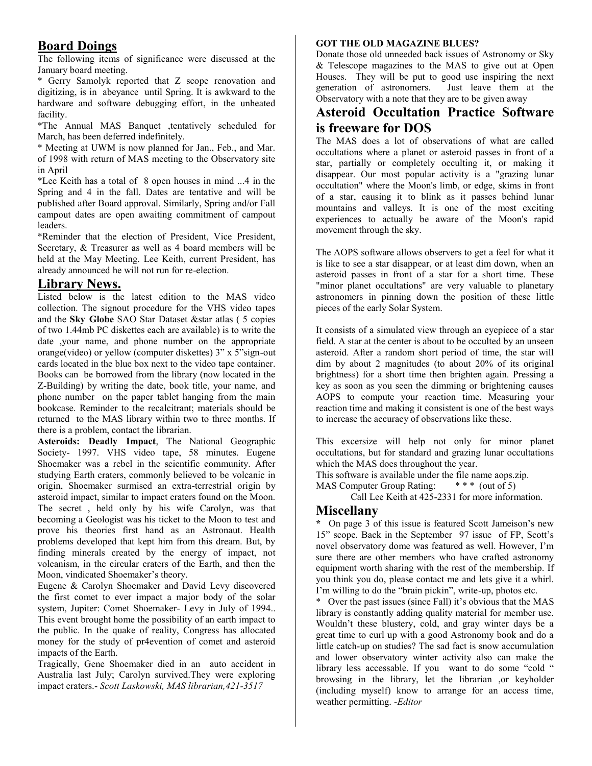# **Board Doings**

The following items of significance were discussed at the January board meeting.

\* Gerry Samolyk reported that Z scope renovation and digitizing, is in abeyance until Spring. It is awkward to the hardware and software debugging effort, in the unheated facility.

\*The Annual MAS Banquet ,tentatively scheduled for March, has been deferred indefinitely.

\* Meeting at UWM is now planned for Jan., Feb., and Mar. of 1998 with return of MAS meeting to the Observatory site in April

\*Lee Keith has a total of 8 open houses in mind ...4 in the Spring and 4 in the fall. Dates are tentative and will be published after Board approval. Similarly, Spring and/or Fall campout dates are open awaiting commitment of campout leaders.

\*Reminder that the election of President, Vice President, Secretary, & Treasurer as well as 4 board members will be held at the May Meeting. Lee Keith, current President, has already announced he will not run for re-election.

## **Library News.**

Listed below is the latest edition to the MAS video collection. The signout procedure for the VHS video tapes and the **Sky Globe** SAO Star Dataset &star atlas ( 5 copies of two 1.44mb PC diskettes each are available) is to write the date ,your name, and phone number on the appropriate orange(video) or yellow (computer diskettes) 3" x 5"sign-out cards located in the blue box next to the video tape container. Books can be borrowed from the library (now located in the Z-Building) by writing the date, book title, your name, and phone number on the paper tablet hanging from the main bookcase. Reminder to the recalcitrant; materials should be returned to the MAS library within two to three months. If there is a problem, contact the librarian.

**Asteroids: Deadly Impact**, The National Geographic Society- 1997. VHS video tape, 58 minutes. Eugene Shoemaker was a rebel in the scientific community. After studying Earth craters, commonly believed to be volcanic in origin, Shoemaker surmised an extra-terrestrial origin by asteroid impact, similar to impact craters found on the Moon. The secret , held only by his wife Carolyn, was that becoming a Geologist was his ticket to the Moon to test and prove his theories first hand as an Astronaut. Health problems developed that kept him from this dream. But, by finding minerals created by the energy of impact, not volcanism, in the circular craters of the Earth, and then the Moon, vindicated Shoemaker's theory.

Eugene & Carolyn Shoemaker and David Levy discovered the first comet to ever impact a major body of the solar system, Jupiter: Comet Shoemaker- Levy in July of 1994.. This event brought home the possibility of an earth impact to the public. In the quake of reality, Congress has allocated money for the study of pr4evention of comet and asteroid impacts of the Earth.

Tragically, Gene Shoemaker died in an auto accident in Australia last July; Carolyn survived.They were exploring impact craters.- *Scott Laskowski, MAS librarian,421-3517*

#### **GOT THE OLD MAGAZINE BLUES?**

Donate those old unneeded back issues of Astronomy or Sky & Telescope magazines to the MAS to give out at Open Houses. They will be put to good use inspiring the next generation of astronomers. Just leave them at the Observatory with a note that they are to be given away

# **Asteroid Occultation Practice Software is freeware for DOS**

The MAS does a lot of observations of what are called occultations where a planet or asteroid passes in front of a star, partially or completely occulting it, or making it disappear. Our most popular activity is a "grazing lunar occultation" where the Moon's limb, or edge, skims in front of a star, causing it to blink as it passes behind lunar mountains and valleys. It is one of the most exciting experiences to actually be aware of the Moon's rapid movement through the sky.

The AOPS software allows observers to get a feel for what it is like to see a star disappear, or at least dim down, when an asteroid passes in front of a star for a short time. These "minor planet occultations" are very valuable to planetary astronomers in pinning down the position of these little pieces of the early Solar System.

It consists of a simulated view through an eyepiece of a star field. A star at the center is about to be occulted by an unseen asteroid. After a random short period of time, the star will dim by about 2 magnitudes (to about 20% of its original brightness) for a short time then brighten again. Pressing a key as soon as you seen the dimming or brightening causes AOPS to compute your reaction time. Measuring your reaction time and making it consistent is one of the best ways to increase the accuracy of observations like these.

This excersize will help not only for minor planet occultations, but for standard and grazing lunar occultations which the MAS does throughout the year.

This software is available under the file name aops.zip.

MAS Computer Group Rating: \* \* \* (out of 5)

Call Lee Keith at 425-2331 for more information.

### **Miscellany**

**\*** On page 3 of this issue is featured Scott Jameison's new 15" scope. Back in the September 97 issue of FP, Scott's novel observatory dome was featured as well. However, I'm sure there are other members who have crafted astronomy equipment worth sharing with the rest of the membership. If you think you do, please contact me and lets give it a whirl. I'm willing to do the "brain pickin", write-up, photos etc.

\* Over the past issues (since Fall) it's obvious that the MAS library is constantly adding quality material for member use. Wouldn't these blustery, cold, and gray winter days be a great time to curl up with a good Astronomy book and do a little catch-up on studies? The sad fact is snow accumulation and lower observatory winter activity also can make the library less accessable. If you want to do some "cold " browsing in the library, let the librarian ,or keyholder (including myself) know to arrange for an access time, weather permitting. *-Editor*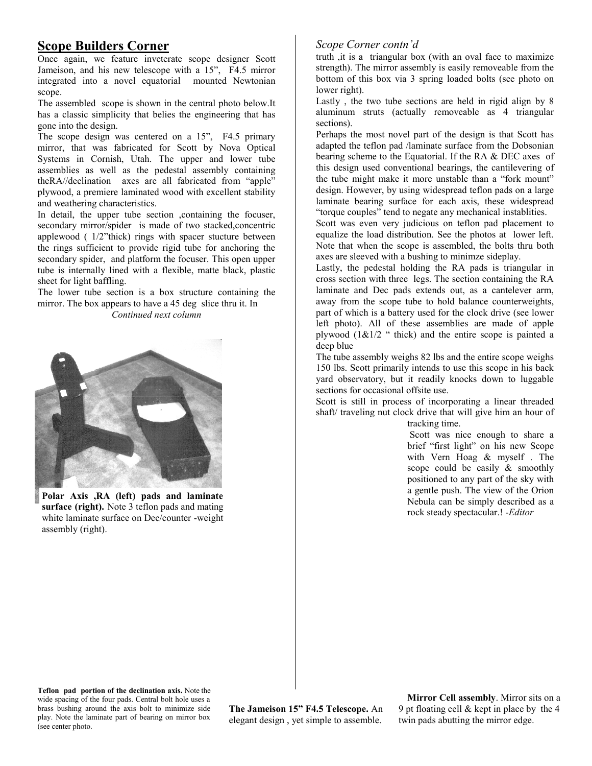# **Scope Builders Corner**

Once again, we feature inveterate scope designer Scott Jameison, and his new telescope with a 15", F4.5 mirror integrated into a novel equatorial mounted Newtonian scope.

The assembled scope is shown in the central photo below.It has a classic simplicity that belies the engineering that has gone into the design.

The scope design was centered on a 15", F4.5 primary mirror, that was fabricated for Scott by Nova Optical Systems in Cornish, Utah. The upper and lower tube assemblies as well as the pedestal assembly containing theRA//declination axes are all fabricated from "apple" plywood, a premiere laminated wood with excellent stability and weathering characteristics.

In detail, the upper tube section ,containing the focuser, secondary mirror/spider is made of two stacked, concentric applewood ( 1/2"thick) rings with spacer stucture between the rings sufficient to provide rigid tube for anchoring the secondary spider, and platform the focuser. This open upper tube is internally lined with a flexible, matte black, plastic sheet for light baffling.

The lower tube section is a box structure containing the mirror. The box appears to have a 45 deg slice thru it. In *Continued next column*



**Polar Axis ,RA (left) pads and laminate surface (right).** Note 3 teflon pads and mating white laminate surface on Dec/counter -weight assembly (right).

### *Scope Corner contn'd*

truth ,it is a triangular box (with an oval face to maximize strength). The mirror assembly is easily removeable from the bottom of this box via 3 spring loaded bolts (see photo on lower right).

Lastly , the two tube sections are held in rigid align by 8 aluminum struts (actually removeable as 4 triangular sections).

Perhaps the most novel part of the design is that Scott has adapted the teflon pad /laminate surface from the Dobsonian bearing scheme to the Equatorial. If the RA & DEC axes of this design used conventional bearings, the cantilevering of the tube might make it more unstable than a "fork mount" design. However, by using widespread teflon pads on a large laminate bearing surface for each axis, these widespread "torque couples" tend to negate any mechanical instablities.

Scott was even very judicious on teflon pad placement to equalize the load distribution. See the photos at lower left. Note that when the scope is assembled, the bolts thru both axes are sleeved with a bushing to minimze sideplay.

Lastly, the pedestal holding the RA pads is triangular in cross section with three legs. The section containing the RA laminate and Dec pads extends out, as a cantelever arm, away from the scope tube to hold balance counterweights, part of which is a battery used for the clock drive (see lower left photo). All of these assemblies are made of apple plywood  $(1\&1/2$  " thick) and the entire scope is painted a deep blue

The tube assembly weighs 82 lbs and the entire scope weighs 150 lbs. Scott primarily intends to use this scope in his back yard observatory, but it readily knocks down to luggable sections for occasional offsite use.

Scott is still in process of incorporating a linear threaded shaft/ traveling nut clock drive that will give him an hour of tracking time.

Scott was nice enough to share a brief "first light" on his new Scope with Vern Hoag & myself . The scope could be easily & smoothly positioned to any part of the sky with a gentle push. The view of the Orion Nebula can be simply described as a

rock steady spectacular.! -*Editor*

**Teflon pad portion of the declination axis.** Note the wide spacing of the four pads. Central bolt hole uses a brass bushing around the axis bolt to minimize side play. Note the laminate part of bearing on mirror box (see center photo.

**The Jameison 15" F4.5 Telescope.** An elegant design , yet simple to assemble.

**Mirror Cell assembly**. Mirror sits on a 9 pt floating cell & kept in place by the 4 twin pads abutting the mirror edge.